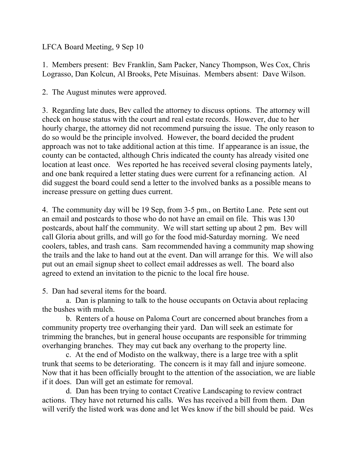LFCA Board Meeting, 9 Sep 10

1. Members present: Bev Franklin, Sam Packer, Nancy Thompson, Wes Cox, Chris Lograsso, Dan Kolcun, Al Brooks, Pete Misuinas. Members absent: Dave Wilson.

2. The August minutes were approved.

3. Regarding late dues, Bev called the attorney to discuss options. The attorney will check on house status with the court and real estate records. However, due to her hourly charge, the attorney did not recommend pursuing the issue. The only reason to do so would be the principle involved. However, the board decided the prudent approach was not to take additional action at this time. If appearance is an issue, the county can be contacted, although Chris indicated the county has already visited one location at least once. Wes reported he has received several closing payments lately, and one bank required a letter stating dues were current for a refinancing action. Al did suggest the board could send a letter to the involved banks as a possible means to increase pressure on getting dues current.

4. The community day will be 19 Sep, from 3-5 pm., on Bertito Lane. Pete sent out an email and postcards to those who do not have an email on file. This was 130 postcards, about half the community. We will start setting up about 2 pm. Bev will call Gloria about grills, and will go for the food mid-Saturday morning. We need coolers, tables, and trash cans. Sam recommended having a community map showing the trails and the lake to hand out at the event. Dan will arrange for this. We will also put out an email signup sheet to collect email addresses as well. The board also agreed to extend an invitation to the picnic to the local fire house.

5. Dan had several items for the board.

 a. Dan is planning to talk to the house occupants on Octavia about replacing the bushes with mulch.

 b. Renters of a house on Paloma Court are concerned about branches from a community property tree overhanging their yard. Dan will seek an estimate for trimming the branches, but in general house occupants are responsible for trimming overhanging branches. They may cut back any overhang to the property line.

 c. At the end of Modisto on the walkway, there is a large tree with a split trunk that seems to be deteriorating. The concern is it may fall and injure someone. Now that it has been officially brought to the attention of the association, we are liable if it does. Dan will get an estimate for removal.

 d. Dan has been trying to contact Creative Landscaping to review contract actions. They have not returned his calls. Wes has received a bill from them. Dan will verify the listed work was done and let Wes know if the bill should be paid. Wes